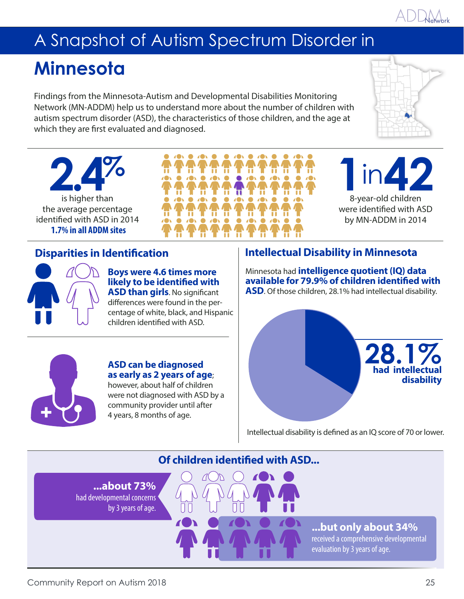# A Snapshot of Autism Spectrum Disorder in

# **Minnesota**

Findings from the Minnesota-Autism and Developmental Disabilities Monitoring Network (MN-ADDM) help us to understand more about the number of children with autism spectrum disorder (ASD), the characteristics of those children, and the age at which they are first evaluated and diagnosed.



8-year-old children in**42**

were identified with ASD by MN-ADDM in 2014

**2.4%** is higher than the average percentage identified with ASD in 2014 **1.7% in all ADDM sites**

**Boys were 4.6 times more likely to be identified with ASD than girls**. No significant differences were found in the percentage of white, black, and Hispanic children identified with ASD.

**ASD can be diagnosed as early as 2 years of age**; however, about half of children were not diagnosed with ASD by a community provider until after 4 years, 8 months of age.

# **Disparities in Identification Intellectual Disability in Minnesota**

Minnesota had **intelligence quotient (IQ) data available for 79.9% of children identified with ASD**. Of those children, 28.1% had intellectual disability.

**1**<br>8-y



Intellectual disability is defined as an IQ score of 70 or lower.